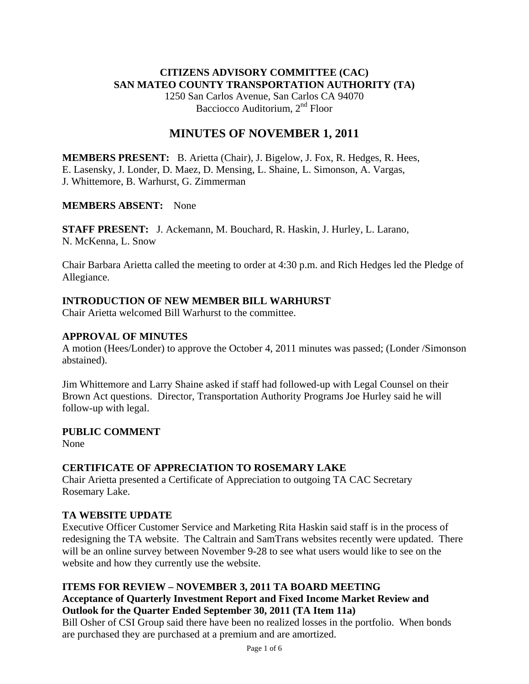## **CITIZENS ADVISORY COMMITTEE (CAC) SAN MATEO COUNTY TRANSPORTATION AUTHORITY (TA)**

1250 San Carlos Avenue, San Carlos CA 94070 Bacciocco Auditorium, 2<sup>nd</sup> Floor

## **MINUTES OF NOVEMBER 1, 2011**

**MEMBERS PRESENT:** B. Arietta (Chair), J. Bigelow, J. Fox, R. Hedges, R. Hees, E. Lasensky, J. Londer, D. Maez, D. Mensing, L. Shaine, L. Simonson, A. Vargas, J. Whittemore, B. Warhurst, G. Zimmerman

#### **MEMBERS ABSENT:** None

**STAFF PRESENT:** J. Ackemann, M. Bouchard, R. Haskin, J. Hurley, L. Larano, N. McKenna, L. Snow

Chair Barbara Arietta called the meeting to order at 4:30 p.m. and Rich Hedges led the Pledge of Allegiance.

## **INTRODUCTION OF NEW MEMBER BILL WARHURST**

Chair Arietta welcomed Bill Warhurst to the committee.

## **APPROVAL OF MINUTES**

A motion (Hees/Londer) to approve the October 4, 2011 minutes was passed; (Londer /Simonson abstained).

Jim Whittemore and Larry Shaine asked if staff had followed-up with Legal Counsel on their Brown Act questions. Director, Transportation Authority Programs Joe Hurley said he will follow-up with legal.

#### **PUBLIC COMMENT**

None

## **CERTIFICATE OF APPRECIATION TO ROSEMARY LAKE**

Chair Arietta presented a Certificate of Appreciation to outgoing TA CAC Secretary Rosemary Lake.

## **TA WEBSITE UPDATE**

Executive Officer Customer Service and Marketing Rita Haskin said staff is in the process of redesigning the TA website. The Caltrain and SamTrans websites recently were updated. There will be an online survey between November 9-28 to see what users would like to see on the website and how they currently use the website.

#### **ITEMS FOR REVIEW – NOVEMBER 3, 2011 TA BOARD MEETING Acceptance of Quarterly Investment Report and Fixed Income Market Review and Outlook for the Quarter Ended September 30, 2011 (TA Item 11a)**

Bill Osher of CSI Group said there have been no realized losses in the portfolio. When bonds are purchased they are purchased at a premium and are amortized.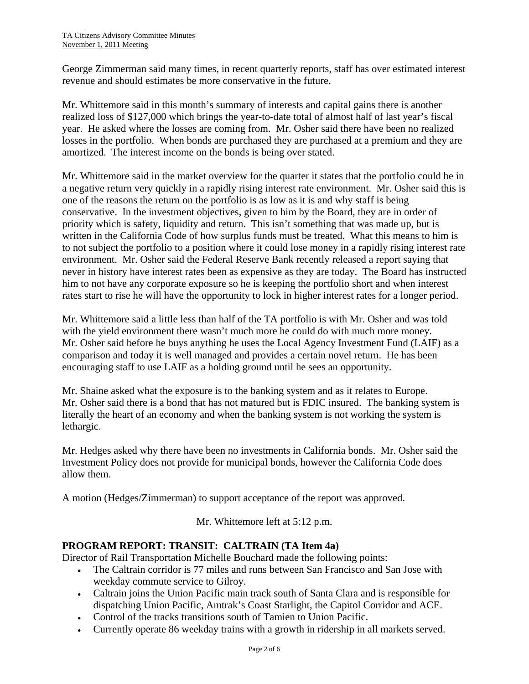George Zimmerman said many times, in recent quarterly reports, staff has over estimated interest revenue and should estimates be more conservative in the future.

Mr. Whittemore said in this month's summary of interests and capital gains there is another realized loss of \$127,000 which brings the year-to-date total of almost half of last year's fiscal year. He asked where the losses are coming from. Mr. Osher said there have been no realized losses in the portfolio. When bonds are purchased they are purchased at a premium and they are amortized. The interest income on the bonds is being over stated.

Mr. Whittemore said in the market overview for the quarter it states that the portfolio could be in a negative return very quickly in a rapidly rising interest rate environment. Mr. Osher said this is one of the reasons the return on the portfolio is as low as it is and why staff is being conservative. In the investment objectives, given to him by the Board, they are in order of priority which is safety, liquidity and return. This isn't something that was made up, but is written in the California Code of how surplus funds must be treated. What this means to him is to not subject the portfolio to a position where it could lose money in a rapidly rising interest rate environment. Mr. Osher said the Federal Reserve Bank recently released a report saying that never in history have interest rates been as expensive as they are today. The Board has instructed him to not have any corporate exposure so he is keeping the portfolio short and when interest rates start to rise he will have the opportunity to lock in higher interest rates for a longer period.

Mr. Whittemore said a little less than half of the TA portfolio is with Mr. Osher and was told with the yield environment there wasn't much more he could do with much more money. Mr. Osher said before he buys anything he uses the Local Agency Investment Fund (LAIF) as a comparison and today it is well managed and provides a certain novel return. He has been encouraging staff to use LAIF as a holding ground until he sees an opportunity.

Mr. Shaine asked what the exposure is to the banking system and as it relates to Europe. Mr. Osher said there is a bond that has not matured but is FDIC insured. The banking system is literally the heart of an economy and when the banking system is not working the system is lethargic.

Mr. Hedges asked why there have been no investments in California bonds. Mr. Osher said the Investment Policy does not provide for municipal bonds, however the California Code does allow them.

A motion (Hedges/Zimmerman) to support acceptance of the report was approved.

Mr. Whittemore left at 5:12 p.m.

## **PROGRAM REPORT: TRANSIT: CALTRAIN (TA Item 4a)**

Director of Rail Transportation Michelle Bouchard made the following points:

- The Caltrain corridor is 77 miles and runs between San Francisco and San Jose with weekday commute service to Gilroy.
- Caltrain joins the Union Pacific main track south of Santa Clara and is responsible for dispatching Union Pacific, Amtrak's Coast Starlight, the Capitol Corridor and ACE.
- Control of the tracks transitions south of Tamien to Union Pacific.
- Currently operate 86 weekday trains with a growth in ridership in all markets served.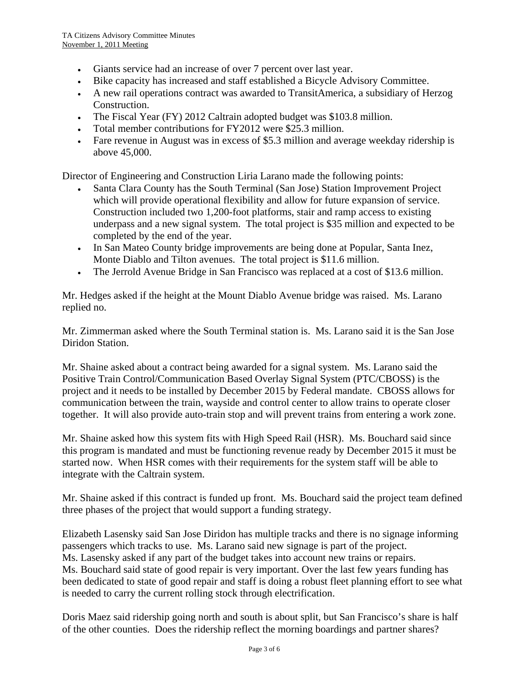- Giants service had an increase of over 7 percent over last year.
- Bike capacity has increased and staff established a Bicycle Advisory Committee.
- A new rail operations contract was awarded to TransitAmerica, a subsidiary of Herzog Construction.
- The Fiscal Year (FY) 2012 Caltrain adopted budget was \$103.8 million.
- Total member contributions for FY2012 were \$25.3 million.
- Fare revenue in August was in excess of \$5.3 million and average weekday ridership is above 45,000.

Director of Engineering and Construction Liria Larano made the following points:

- Santa Clara County has the South Terminal (San Jose) Station Improvement Project which will provide operational flexibility and allow for future expansion of service. Construction included two 1,200-foot platforms, stair and ramp access to existing underpass and a new signal system. The total project is \$35 million and expected to be completed by the end of the year.
- In San Mateo County bridge improvements are being done at Popular, Santa Inez, Monte Diablo and Tilton avenues. The total project is \$11.6 million.
- The Jerrold Avenue Bridge in San Francisco was replaced at a cost of \$13.6 million.

Mr. Hedges asked if the height at the Mount Diablo Avenue bridge was raised. Ms. Larano replied no.

Mr. Zimmerman asked where the South Terminal station is. Ms. Larano said it is the San Jose Diridon Station.

Mr. Shaine asked about a contract being awarded for a signal system. Ms. Larano said the Positive Train Control/Communication Based Overlay Signal System (PTC/CBOSS) is the project and it needs to be installed by December 2015 by Federal mandate. CBOSS allows for communication between the train, wayside and control center to allow trains to operate closer together. It will also provide auto-train stop and will prevent trains from entering a work zone.

Mr. Shaine asked how this system fits with High Speed Rail (HSR). Ms. Bouchard said since this program is mandated and must be functioning revenue ready by December 2015 it must be started now. When HSR comes with their requirements for the system staff will be able to integrate with the Caltrain system.

Mr. Shaine asked if this contract is funded up front. Ms. Bouchard said the project team defined three phases of the project that would support a funding strategy.

Elizabeth Lasensky said San Jose Diridon has multiple tracks and there is no signage informing passengers which tracks to use. Ms. Larano said new signage is part of the project. Ms. Lasensky asked if any part of the budget takes into account new trains or repairs. Ms. Bouchard said state of good repair is very important. Over the last few years funding has been dedicated to state of good repair and staff is doing a robust fleet planning effort to see what is needed to carry the current rolling stock through electrification.

Doris Maez said ridership going north and south is about split, but San Francisco's share is half of the other counties. Does the ridership reflect the morning boardings and partner shares?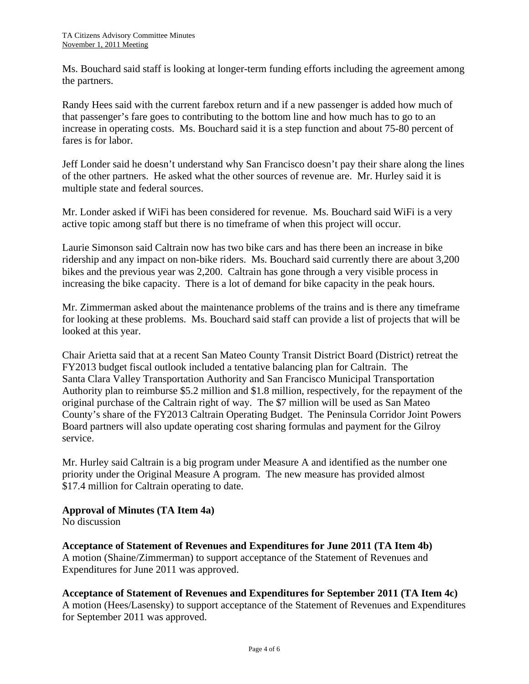Ms. Bouchard said staff is looking at longer-term funding efforts including the agreement among the partners.

Randy Hees said with the current farebox return and if a new passenger is added how much of that passenger's fare goes to contributing to the bottom line and how much has to go to an increase in operating costs. Ms. Bouchard said it is a step function and about 75-80 percent of fares is for labor.

Jeff Londer said he doesn't understand why San Francisco doesn't pay their share along the lines of the other partners. He asked what the other sources of revenue are. Mr. Hurley said it is multiple state and federal sources.

Mr. Londer asked if WiFi has been considered for revenue. Ms. Bouchard said WiFi is a very active topic among staff but there is no timeframe of when this project will occur.

Laurie Simonson said Caltrain now has two bike cars and has there been an increase in bike ridership and any impact on non-bike riders. Ms. Bouchard said currently there are about 3,200 bikes and the previous year was 2,200. Caltrain has gone through a very visible process in increasing the bike capacity. There is a lot of demand for bike capacity in the peak hours.

Mr. Zimmerman asked about the maintenance problems of the trains and is there any timeframe for looking at these problems. Ms. Bouchard said staff can provide a list of projects that will be looked at this year.

Chair Arietta said that at a recent San Mateo County Transit District Board (District) retreat the FY2013 budget fiscal outlook included a tentative balancing plan for Caltrain. The Santa Clara Valley Transportation Authority and San Francisco Municipal Transportation Authority plan to reimburse \$5.2 million and \$1.8 million, respectively, for the repayment of the original purchase of the Caltrain right of way. The \$7 million will be used as San Mateo County's share of the FY2013 Caltrain Operating Budget. The Peninsula Corridor Joint Powers Board partners will also update operating cost sharing formulas and payment for the Gilroy service.

Mr. Hurley said Caltrain is a big program under Measure A and identified as the number one priority under the Original Measure A program. The new measure has provided almost \$17.4 million for Caltrain operating to date.

## **Approval of Minutes (TA Item 4a)**

No discussion

## **Acceptance of Statement of Revenues and Expenditures for June 2011 (TA Item 4b)**

A motion (Shaine/Zimmerman) to support acceptance of the Statement of Revenues and Expenditures for June 2011 was approved.

**Acceptance of Statement of Revenues and Expenditures for September 2011 (TA Item 4c)**

A motion (Hees/Lasensky) to support acceptance of the Statement of Revenues and Expenditures for September 2011 was approved.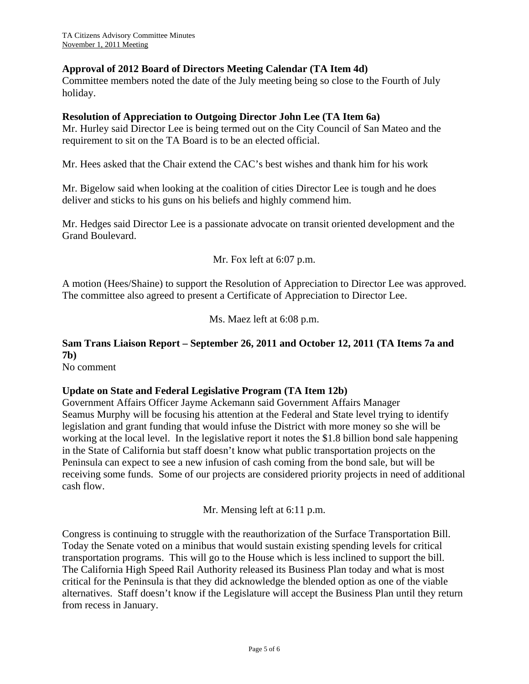#### **Approval of 2012 Board of Directors Meeting Calendar (TA Item 4d)**

Committee members noted the date of the July meeting being so close to the Fourth of July holiday.

#### **Resolution of Appreciation to Outgoing Director John Lee (TA Item 6a)**

Mr. Hurley said Director Lee is being termed out on the City Council of San Mateo and the requirement to sit on the TA Board is to be an elected official.

Mr. Hees asked that the Chair extend the CAC's best wishes and thank him for his work

Mr. Bigelow said when looking at the coalition of cities Director Lee is tough and he does deliver and sticks to his guns on his beliefs and highly commend him.

Mr. Hedges said Director Lee is a passionate advocate on transit oriented development and the Grand Boulevard.

#### Mr. Fox left at 6:07 p.m.

A motion (Hees/Shaine) to support the Resolution of Appreciation to Director Lee was approved. The committee also agreed to present a Certificate of Appreciation to Director Lee.

Ms. Maez left at 6:08 p.m.

# **Sam Trans Liaison Report – September 26, 2011 and October 12, 2011 (TA Items 7a and 7b)**

No comment

#### **Update on State and Federal Legislative Program (TA Item 12b)**

Government Affairs Officer Jayme Ackemann said Government Affairs Manager Seamus Murphy will be focusing his attention at the Federal and State level trying to identify legislation and grant funding that would infuse the District with more money so she will be working at the local level. In the legislative report it notes the \$1.8 billion bond sale happening in the State of California but staff doesn't know what public transportation projects on the Peninsula can expect to see a new infusion of cash coming from the bond sale, but will be receiving some funds. Some of our projects are considered priority projects in need of additional cash flow.

Mr. Mensing left at 6:11 p.m.

Congress is continuing to struggle with the reauthorization of the Surface Transportation Bill. Today the Senate voted on a minibus that would sustain existing spending levels for critical transportation programs. This will go to the House which is less inclined to support the bill. The California High Speed Rail Authority released its Business Plan today and what is most critical for the Peninsula is that they did acknowledge the blended option as one of the viable alternatives. Staff doesn't know if the Legislature will accept the Business Plan until they return from recess in January.